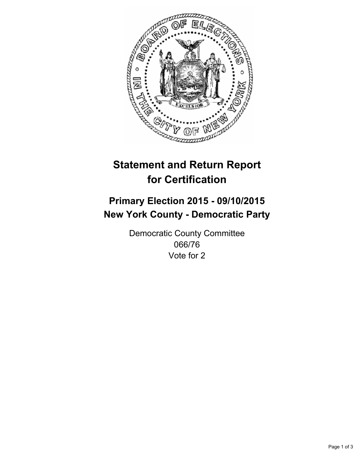

# **Statement and Return Report for Certification**

## **Primary Election 2015 - 09/10/2015 New York County - Democratic Party**

Democratic County Committee 066/76 Vote for 2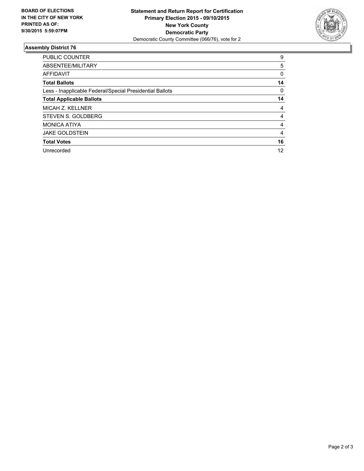

#### **Assembly District 76**

| <b>PUBLIC COUNTER</b>                                    | 9  |
|----------------------------------------------------------|----|
| ABSENTEE/MILITARY                                        | 5  |
| <b>AFFIDAVIT</b>                                         | 0  |
| <b>Total Ballots</b>                                     | 14 |
| Less - Inapplicable Federal/Special Presidential Ballots | 0  |
| <b>Total Applicable Ballots</b>                          | 14 |
| MICAH Z. KELLNER                                         | 4  |
| STEVEN S. GOLDBERG                                       | 4  |
| <b>MONICA ATIYA</b>                                      | 4  |
| <b>JAKE GOLDSTEIN</b>                                    | 4  |
| <b>Total Votes</b>                                       | 16 |
| Unrecorded                                               | 12 |